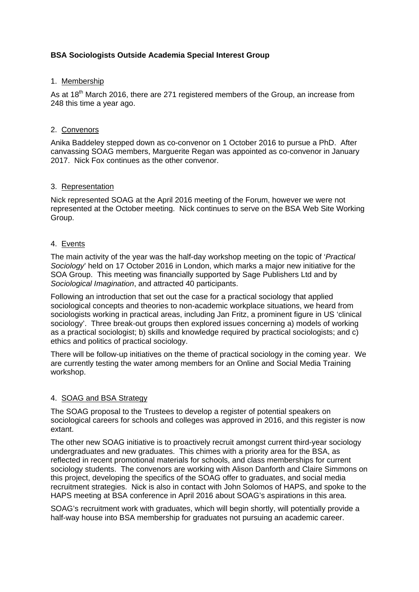# **BSA Sociologists Outside Academia Special Interest Group**

### 1. Membership

As at 18<sup>th</sup> March 2016, there are 271 registered members of the Group, an increase from 248 this time a year ago.

## 2. Convenors

Anika Baddeley stepped down as co-convenor on 1 October 2016 to pursue a PhD. After canvassing SOAG members, Marguerite Regan was appointed as co-convenor in January 2017. Nick Fox continues as the other convenor.

### 3. Representation

Nick represented SOAG at the April 2016 meeting of the Forum, however we were not represented at the October meeting. Nick continues to serve on the BSA Web Site Working Group.

### 4. Events

The main activity of the year was the half-day workshop meeting on the topic of '*Practical Sociology*' held on 17 October 2016 in London, which marks a major new initiative for the SOA Group. This meeting was financially supported by Sage Publishers Ltd and by *Sociological Imagination*, and attracted 40 participants.

Following an introduction that set out the case for a practical sociology that applied sociological concepts and theories to non-academic workplace situations, we heard from sociologists working in practical areas, including Jan Fritz, a prominent figure in US 'clinical sociology'. Three break-out groups then explored issues concerning a) models of working as a practical sociologist; b) skills and knowledge required by practical sociologists; and c) ethics and politics of practical sociology.

There will be follow-up initiatives on the theme of practical sociology in the coming year. We are currently testing the water among members for an Online and Social Media Training workshop.

#### 4. SOAG and BSA Strategy

The SOAG proposal to the Trustees to develop a register of potential speakers on sociological careers for schools and colleges was approved in 2016, and this register is now extant.

The other new SOAG initiative is to proactively recruit amongst current third-year sociology undergraduates and new graduates. This chimes with a priority area for the BSA, as reflected in recent promotional materials for schools, and class memberships for current sociology students. The convenors are working with Alison Danforth and Claire Simmons on this project, developing the specifics of the SOAG offer to graduates, and social media recruitment strategies. Nick is also in contact with John Solomos of HAPS, and spoke to the HAPS meeting at BSA conference in April 2016 about SOAG's aspirations in this area.

SOAG's recruitment work with graduates, which will begin shortly, will potentially provide a half-way house into BSA membership for graduates not pursuing an academic career.